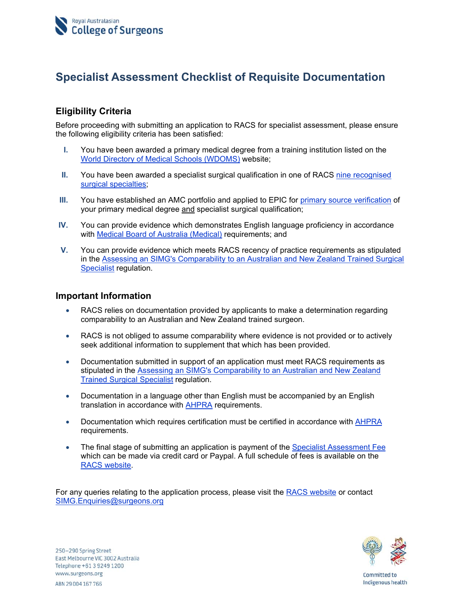# **Specialist Assessment Checklist of Requisite Documentation**

# **Eligibility Criteria**

Before proceeding with submitting an application to RACS for specialist assessment, please ensure the following eligibility criteria has been satisfied:

- **I.** You have been awarded a primary medical degree from a training institution listed on the World Directory of Medical Schools (WDOMS) website;
- **II.** You have been awarded a specialist surgical qualification in one of RACS nine recognised surgical specialties;
- **III.** You have established an AMC portfolio and applied to EPIC for primary source verification of your primary medical degree and specialist surgical qualification;
- **IV.** You can provide evidence which demonstrates English language proficiency in accordance with Medical Board of Australia (Medical) requirements; and
- **V.** You can provide evidence which meets RACS recency of practice requirements as stipulated in the Assessing an SIMG's Comparability to an Australian and New Zealand Trained Surgical Specialist regulation.

### **Important Information**

- RACS relies on documentation provided by applicants to make a determination regarding comparability to an Australian and New Zealand trained surgeon.
- RACS is not obliged to assume comparability where evidence is not provided or to actively seek additional information to supplement that which has been provided.
- Documentation submitted in support of an application must meet RACS requirements as stipulated in the Assessing an SIMG's Comparability to an Australian and New Zealand Trained Surgical Specialist regulation.
- Documentation in a language other than English must be accompanied by an English translation in accordance with AHPRA requirements.
- Documentation which requires certification must be certified in accordance with AHPRA requirements.
- The final stage of submitting an application is payment of the Specialist Assessment Fee which can be made via credit card or Paypal. A full schedule of fees is available on the RACS website.

For any queries relating to the application process, please visit the RACS website or contact SIMG.Enquiries@surgeons.org



Committed to Indigenous health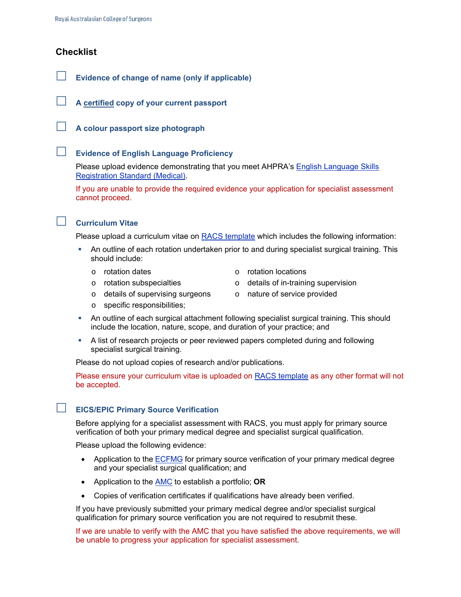#### **Checklist**



**A certified copy of your current passport** 

**A colour passport size photograph** 

#### **Evidence of English Language Proficiency**

Please upload evidence demonstrating that you meet AHPRA's English Language Skills Registration Standard (Medical).

If you are unable to provide the required evidence your application for specialist assessment cannot proceed.



#### **Curriculum Vitae**

Please upload a curriculum vitae on RACS template which includes the following information:

- An outline of each rotation undertaken prior to and during specialist surgical training. This should include:
	-
	- o rotation dates o rotation locations
	- $\circ$  rotation subspecialties  $\circ$  details of in-training supervision
		-
	- o specific responsibilities;

o details of supervising surgeons

- o nature of service provided
- An outline of each surgical attachment following specialist surgical training. This should include the location, nature, scope, and duration of your practice; and
- A list of research projects or peer reviewed papers completed during and following specialist surgical training.

Please do not upload copies of research and/or publications.

Please ensure your curriculum vitae is uploaded on RACS template as any other format will not be accepted.

#### **EICS/EPIC Primary Source Verification**

Before applying for a specialist assessment with RACS, you must apply for primary source verification of both your primary medical degree and specialist surgical qualification.

Please upload the following evidence:

- Application to the ECFMG for primary source verification of your primary medical degree and your specialist surgical qualification; and
- Application to the AMC to establish a portfolio; **OR**
- Copies of verification certificates if qualifications have already been verified.

If you have previously submitted your primary medical degree and/or specialist surgical qualification for primary source verification you are not required to resubmit these.

If we are unable to verify with the AMC that you have satisfied the above requirements, we will be unable to progress your application for specialist assessment.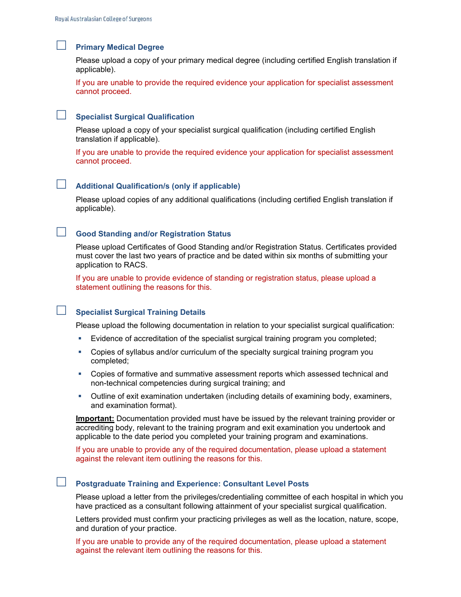#### **Primary Medical Degree**

Please upload a copy of your primary medical degree (including certified English translation if applicable).

If you are unable to provide the required evidence your application for specialist assessment cannot proceed.

#### **Specialist Surgical Qualification**

Please upload a copy of your specialist surgical qualification (including certified English translation if applicable).

If you are unable to provide the required evidence your application for specialist assessment cannot proceed.

#### **Additional Qualification/s (only if applicable)**

Please upload copies of any additional qualifications (including certified English translation if applicable).

# **Good Standing and/or Registration Status**

Please upload Certificates of Good Standing and/or Registration Status. Certificates provided must cover the last two years of practice and be dated within six months of submitting your application to RACS.

If you are unable to provide evidence of standing or registration status, please upload a statement outlining the reasons for this.

# **Specialist Surgical Training Details**

Please upload the following documentation in relation to your specialist surgical qualification:

- Evidence of accreditation of the specialist surgical training program you completed;
- Copies of syllabus and/or curriculum of the specialty surgical training program you completed;
- Copies of formative and summative assessment reports which assessed technical and non-technical competencies during surgical training; and
- Outline of exit examination undertaken (including details of examining body, examiners, and examination format).

**Important:** Documentation provided must have be issued by the relevant training provider or accrediting body, relevant to the training program and exit examination you undertook and applicable to the date period you completed your training program and examinations.

If you are unable to provide any of the required documentation, please upload a statement against the relevant item outlining the reasons for this.

#### **Postgraduate Training and Experience: Consultant Level Posts**

Please upload a letter from the privileges/credentialing committee of each hospital in which you have practiced as a consultant following attainment of your specialist surgical qualification.

Letters provided must confirm your practicing privileges as well as the location, nature, scope, and duration of your practice.

If you are unable to provide any of the required documentation, please upload a statement against the relevant item outlining the reasons for this.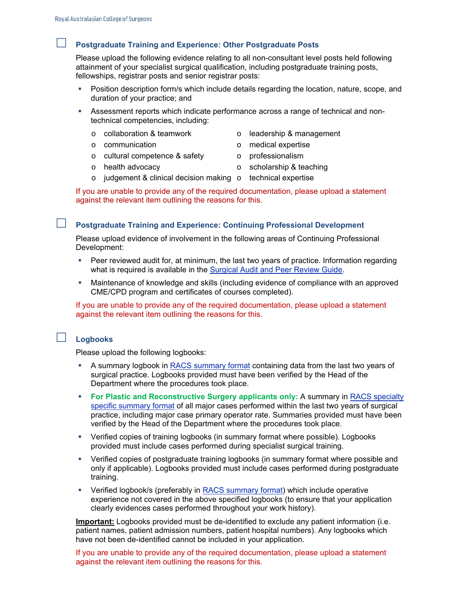### **Postgraduate Training and Experience: Other Postgraduate Posts**

Please upload the following evidence relating to all non-consultant level posts held following attainment of your specialist surgical qualification, including postgraduate training posts, fellowships, registrar posts and senior registrar posts:

- Position description form/s which include details regarding the location, nature, scope, and duration of your practice; and
- Assessment reports which indicate performance across a range of technical and nontechnical competencies, including:
	- $\circ$  collaboration & teamwork  $\circ$  leadership & management
	- o communication o medical expertise
	- o cultural competence & safety
- 
- o health advocacy
- 
- o judgement & clinical decision making o technical expertise

If you are unable to provide any of the required documentation, please upload a statement against the relevant item outlining the reasons for this.

**Postgraduate Training and Experience: Continuing Professional Development** 

Please upload evidence of involvement in the following areas of Continuing Professional Development:

- Peer reviewed audit for, at minimum, the last two years of practice. Information regarding what is required is available in the Surgical Audit and Peer Review Guide.
- Maintenance of knowledge and skills (including evidence of compliance with an approved CME/CPD program and certificates of courses completed).

If you are unable to provide any of the required documentation, please upload a statement against the relevant item outlining the reasons for this.

#### **Logbooks**

Please upload the following logbooks:

- A summary logbook in RACS summary format containing data from the last two years of surgical practice. Logbooks provided must have been verified by the Head of the Department where the procedures took place.
- **For Plastic and Reconstructive Surgery applicants only:** A summary in RACS specialty specific summary format of all major cases performed within the last two years of surgical practice, including major case primary operator rate. Summaries provided must have been verified by the Head of the Department where the procedures took place.
- Verified copies of training logbooks (in summary format where possible). Logbooks provided must include cases performed during specialist surgical training.
- Verified copies of postgraduate training logbooks (in summary format where possible and only if applicable). Logbooks provided must include cases performed during postgraduate training.
- Verified logbook/s (preferably in RACS summary format) which include operative experience not covered in the above specified logbooks (to ensure that your application clearly evidences cases performed throughout your work history).

**Important:** Logbooks provided must be de-identified to exclude any patient information (i.e. patient names, patient admission numbers, patient hospital numbers). Any logbooks which have not been de-identified cannot be included in your application.

If you are unable to provide any of the required documentation, please upload a statement against the relevant item outlining the reasons for this.

- 
- o professionalism
- o scholarship & teaching
- 
-